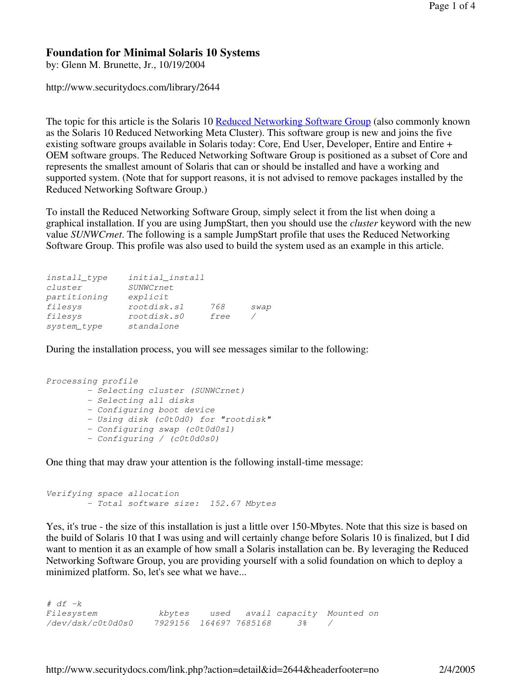## **Foundation for Minimal Solaris 10 Systems**

by: Glenn M. Brunette, Jr., 10/19/2004

http://www.securitydocs.com/library/2644

The topic for this article is the Solaris 10 Reduced Networking Software Group (also commonly known as the Solaris 10 Reduced Networking Meta Cluster). This software group is new and joins the five existing software groups available in Solaris today: Core, End User, Developer, Entire and Entire + OEM software groups. The Reduced Networking Software Group is positioned as a subset of Core and represents the smallest amount of Solaris that can or should be installed and have a working and supported system. (Note that for support reasons, it is not advised to remove packages installed by the Reduced Networking Software Group.)

To install the Reduced Networking Software Group, simply select it from the list when doing a graphical installation. If you are using JumpStart, then you should use the *cluster* keyword with the new value *SUNWCrnet*. The following is a sample JumpStart profile that uses the Reduced Networking Software Group. This profile was also used to build the system used as an example in this article.

| install type | initial install |      |      |
|--------------|-----------------|------|------|
| cluster      | SUNWCrnet       |      |      |
| partitioning | explicit        |      |      |
| filesys      | rootdisk.sl     | 768  | swap |
| filesys      | rootdisk.s0     | free |      |
| system type  | standalone      |      |      |

During the installation process, you will see messages similar to the following:

```
Processing profile
       - Selecting cluster (SUNWCrnet)
       - Selecting all disks
       - Configuring boot device
       - Using disk (c0t0d0) for "rootdisk"
       - Configuring swap (c0t0d0s1)
       - Configuring / (c0t0d0s0)
```
One thing that may draw your attention is the following install-time message:

```
Verifying space allocation
       - Total software size: 152.67 Mbytes
```
Yes, it's true - the size of this installation is just a little over 150-Mbytes. Note that this size is based on the build of Solaris 10 that I was using and will certainly change before Solaris 10 is finalized, but I did want to mention it as an example of how small a Solaris installation can be. By leveraging the Reduced Networking Software Group, you are providing yourself with a solid foundation on which to deploy a minimized platform. So, let's see what we have...

*# df -k Filesystem kbytes used avail capacity Mounted on /dev/dsk/c0t0d0s0 7929156 164697 7685168 3% /*

http://www.securitydocs.com/link.php?action=detail&id=2644&headerfooter=no 2/4/2005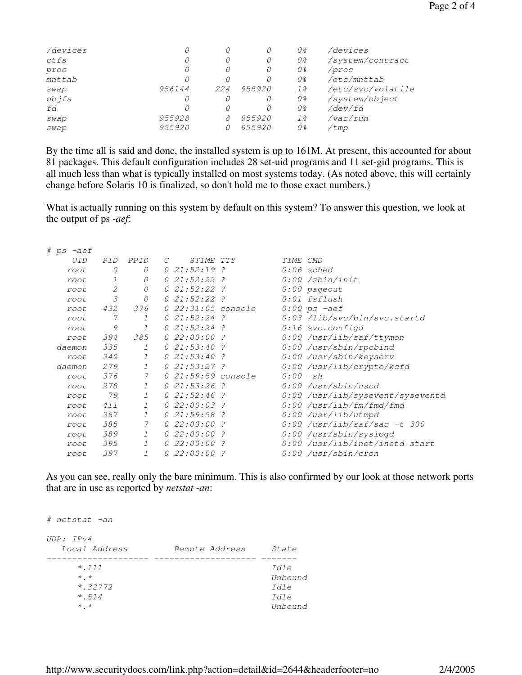| /devices |        |     |        | 0%             | /devices          |
|----------|--------|-----|--------|----------------|-------------------|
| ctfs     |        |     |        | 0 <sup>o</sup> | /system/contract  |
| proc     |        |     |        | 0%             | /proc             |
| mnttab   |        |     |        | 0 <sup>o</sup> | /etc/mnttab       |
| swap     | 956144 | 224 | 955920 | $1\frac{6}{6}$ | /etc/svc/volatile |
| objfs    |        |     |        | 0 <sup>o</sup> | /system/object    |
| fd       |        |     |        | 0 <sup>o</sup> | /dev/fd           |
| swap     | 955928 | 8   | 955920 | $1\frac{6}{6}$ | /var/run          |
| swap     | 955920 |     | 955920 | 0 <sup>o</sup> | 'tmp              |
|          |        |     |        |                |                   |

By the time all is said and done, the installed system is up to 161M. At present, this accounted for about 81 packages. This default configuration includes 28 set-uid programs and 11 set-gid programs. This is all much less than what is typically installed on most systems today. (As noted above, this will certainly change before Solaris 10 is finalized, so don't hold me to those exact numbers.)

What is actually running on this system by default on this system? To answer this question, we look at the output of ps *-aef*:

| # ps -aef  |       |               |   |                       |                |            |                                  |
|------------|-------|---------------|---|-----------------------|----------------|------------|----------------------------------|
| <b>UTD</b> | P T D | PPID          | C | <i>STIME</i>          | TTY            | TIME CMD   |                                  |
| root       | 0     | 0             |   | 021:52:19?            |                |            | $0:06$ sched                     |
| root       | 1     | 0             |   | 021:52:22?            |                |            | $0:00 /$ sbin/init               |
| root       | 2     | 0             | 0 | $21:52:22$ ?          |                |            | $0:00$ pageout                   |
| root       | 3     | 0             |   | 021:52:22?            |                |            | $0:01$ fsflush                   |
| root       | 432   | 376           |   | $0, 22:31:05$ console |                |            | $0:00$ ps $-aef$                 |
| root       | 7     | 1             |   | 021:52:24             | $\overline{z}$ |            | 0:03 /lib/svc/bin/svc.startd     |
| root       | 9     | 1             |   | 021:52:24             | $\overline{z}$ |            | $0:16$ svc.configd               |
| root       | 394   | 385           |   | 0, 22:00:00.2         |                |            | 0:00 /usr/lib/saf/ttymon         |
| daemon     | 335   | 1             |   | 021:53:40?            |                |            | 0:00 /usr/sbin/rpcbind           |
| root       | 340   | $\mathcal{I}$ |   | 021:53:40             | $\overline{z}$ |            | 0:00 /usr/sbin/keyserv           |
| daemon     | 279   | 1             |   | $021:53:27$ ?         |                |            | 0:00 /usr/lib/crypto/kcfd        |
| root       | 376   | 7             |   | 0 21:59:59 console    |                | $0:00$ -sh |                                  |
| root       | 278   | 1             |   | 021:53:262            |                |            | 0:00 /usr/sbin/nscd              |
| root       | 79    | 1             |   | 021:52:46?            |                |            | 0:00 /usr/lib/sysevent/syseventd |
| root       | 411   | 7             |   | $0, 22:00:03$ ?       |                |            | $0:00$ /usr/lib/fm/fmd/fmd       |
| root       | 367   | $\mathcal{I}$ |   | 021:59:58?            |                |            | $0:00$ /usr/lib/utmpd            |
| root       | 385   | 7             |   | 022:00:00             | $\mathcal{P}$  |            | $0:00$ /usr/lib/saf/sac -t 300   |
| root       | 389   | 1             |   | 0, 22:00:00?          |                |            | 0:00 /usr/sbin/syslogd           |
| root       | 395   | $\mathcal{I}$ |   | 0, 22:00:00?          |                |            | 0:00 /usr/lib/inet/inetd start   |
| root       | 397   | $\mathcal{I}$ | 0 | 22:00:00?             |                |            | 0:00 /usr/sbin/cron              |
|            |       |               |   |                       |                |            |                                  |

As you can see, really only the bare minimum. This is also confirmed by our look at those network ports that are in use as reported by *netstat -an*:

| # netstat -an                                                  |                |                                            |
|----------------------------------------------------------------|----------------|--------------------------------------------|
| UDP: IPv4<br>Local Address                                     | Remote Address | State                                      |
| $*$ , 111<br>$*$ , $*$<br>$*$ .32772<br>$*$ . 514<br>$\star$ + |                | Idle<br>Unbound<br>Idle<br>Idle<br>Unbound |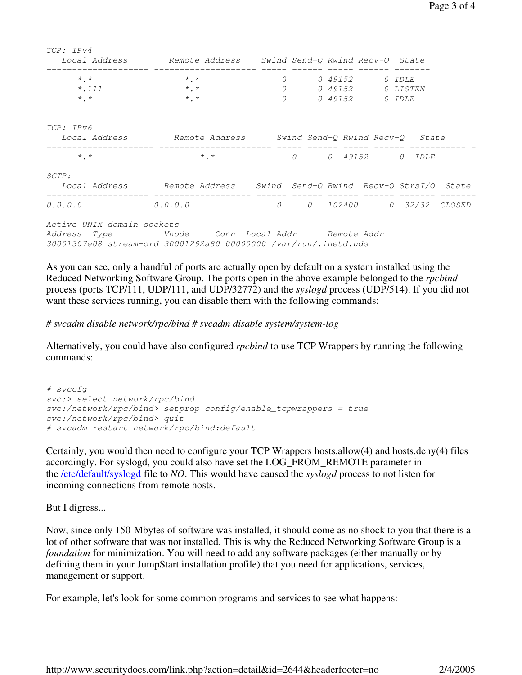| TCP: IPv4                  | Local Address Memote Address Swind Send-Q Rwind Recv-Q State                                                          |          |                                                                                 |
|----------------------------|-----------------------------------------------------------------------------------------------------------------------|----------|---------------------------------------------------------------------------------|
| $\star$ , $\star$          | $\star$ $\star$                                                                                                       |          | 0 0 4 9 1 5 2<br><i>O IDLE</i>                                                  |
| $*$ , 111                  | $\star$ $\star$                                                                                                       |          | 0 0 49152 0 LISTEN                                                              |
| $\star$ , $\star$          | $\star$ $\star$                                                                                                       | $\Omega$ | 0 49152 0 IDLE                                                                  |
| TCP: IPv6                  |                                                                                                                       |          |                                                                                 |
|                            |                                                                                                                       |          | Local Address 6 Remote Address 5 Swind Send-Q Rwind Recv-Q State                |
| $\star$ $\star$            | $\star$ $\star$                                                                                                       |          | 0 0 49152 0 IDLE                                                                |
| SCTP:                      |                                                                                                                       |          | Local Address       Remote Address   Swind  Send-Q Rwind  Recv-Q StrsI/O  State |
| 0.0.0.0                    | 0.0.0.0                                                                                                               |          | 0 0 102400 0 32/32 CLOSED                                                       |
| Active UNIX domain sockets | Address Type 6 Vnode Conn Local Addr 8 Remote Addr<br>30001307e08 stream-ord 30001292a80 00000000 /var/run/.inetd.uds |          |                                                                                 |

As you can see, only a handful of ports are actually open by default on a system installed using the Reduced Networking Software Group. The ports open in the above example belonged to the *rpcbind* process (ports TCP/111, UDP/111, and UDP/32772) and the *syslogd* process (UDP/514). If you did not want these services running, you can disable them with the following commands:

*# svcadm disable network/rpc/bind # svcadm disable system/system-log*

Alternatively, you could have also configured *rpcbind* to use TCP Wrappers by running the following commands:

```
# svccfg
svc:> select network/rpc/bind
svc:/network/rpc/bind> setprop config/enable_tcpwrappers = true
svc:/network/rpc/bind> quit
# svcadm restart network/rpc/bind:default
```
Certainly, you would then need to configure your TCP Wrappers hosts.allow(4) and hosts.deny(4) files accordingly. For syslogd, you could also have set the LOG\_FROM\_REMOTE parameter in the /etc/default/syslogd file to *NO*. This would have caused the *syslogd* process to not listen for incoming connections from remote hosts.

But I digress...

Now, since only 150-Mbytes of software was installed, it should come as no shock to you that there is a lot of other software that was not installed. This is why the Reduced Networking Software Group is a *foundation* for minimization. You will need to add any software packages (either manually or by defining them in your JumpStart installation profile) that you need for applications, services, management or support.

For example, let's look for some common programs and services to see what happens: